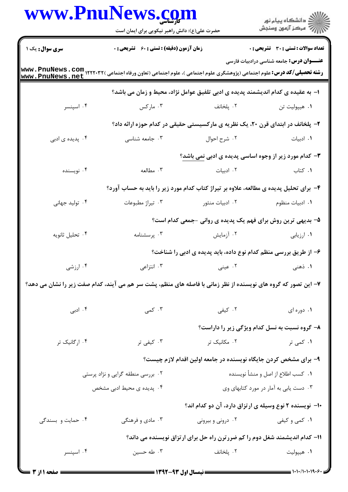|                        | www.PnuNews.com                                                                                                 |                   | ر دانشگاه پيام نور<br>ا∛هرکز آزمون وسنجش                                                                                                                                                                                            |
|------------------------|-----------------------------------------------------------------------------------------------------------------|-------------------|-------------------------------------------------------------------------------------------------------------------------------------------------------------------------------------------------------------------------------------|
| <b>سری سوال :</b> یک ۱ | حضرت علی(ع): دانش راهبر نیکویی برای ایمان است<br>زمان آزمون (دقیقه) : تستی : 60 گشریحی : 0                      |                   | <b>تعداد سوالات : تستی : 30 ٪ تشریحی : 0</b>                                                                                                                                                                                        |
|                        |                                                                                                                 |                   | <b>عنــــوان درس:</b> جامعه شناسی درادبیات فارسی                                                                                                                                                                                    |
| www.PnuNews.net        |                                                                                                                 |                   |                                                                                                                                                                                                                                     |
|                        |                                                                                                                 |                   | ا– به عقیده ی کدام اندیشمند پدیده ی ادبی تلفیق عوامل نژاد، محیط و زمان می باشد؟                                                                                                                                                     |
| ۰۴ اسپنسر              | ۰۳ مارکس $\sim$                                                                                                 | ۰۲ پلخانف         | ٠١ هيپوليت تن                                                                                                                                                                                                                       |
|                        |                                                                                                                 |                   | ۲- پلخانف در ابتدای قرن ۲۰، یک نظریه ی مارکسیستی حقیقی در کدام حوزه ارائه داد؟                                                                                                                                                      |
| ۰۴ پدیده ی ادبی        | ۰۳ جامعه شناسی                                                                                                  | ٠٢ شرح احوال      | ٠١. ادبيات                                                                                                                                                                                                                          |
|                        |                                                                                                                 |                   | ۳- کدام مورد زیر از وجوه اساسی پدیده ی ادبی نمی باشد؟                                                                                                                                                                               |
| ۰۴ نویسنده             | ۰۳ مطالعه                                                                                                       | ۲. ادبیات         | ۰۱ کتاب                                                                                                                                                                                                                             |
|                        |                                                                                                                 |                   | ۴- برای تحلیل پدیده ی مطالعه، علاوه بر تیراژ کتاب کدام مورد زیر را باید به حساب آورد؟                                                                                                                                               |
| ۰۴ تولید جهانی         | ۰۳ تیراژ مطبوعات                                                                                                | ۰۲ ادبیات منثور   | ۰۱ ادبیات منظوم                                                                                                                                                                                                                     |
|                        |                                                                                                                 |                   | ۵- بدیهی ترین روش برای فهم یک پدیده ی روانی -جمعی کدام است؟                                                                                                                                                                         |
| ۰۴ تحليل ثانويه        | ۰۳ پرسشنامه                                                                                                     | ۰۲ آزمایش         | ۰۱ ارزیابی                                                                                                                                                                                                                          |
|                        |                                                                                                                 |                   | ۶- از طریق بررسی منظم کدام نوع داده، باید پدیده ی ادبی را شناخت؟                                                                                                                                                                    |
| ۰۴ ارزشی               | ۰۳ انتزاعی                                                                                                      |                   | ۰۱ ذهنی مسلمان است.<br>از این مسلمان است که تاریخ در این مسلمان است که به این مسلمان است که به این مسلمان است که است که از این مسلمان<br>این مسلمان است که از این مسلمان است که از این مسلمان است که از این مسلمان است که از این مس |
|                        | ۷- این تصور که گروه های نویسنده از نظر زمانی با فاصله های منظم، پشت سر هم می آیند، کدام صفت زیر را نشان می دهد؟ |                   |                                                                                                                                                                                                                                     |
| ۰۴ ادبی                | ۰۳ کمی                                                                                                          | ۰۲ کیفی           | ٠١. دوره ای                                                                                                                                                                                                                         |
|                        |                                                                                                                 |                   | ۸– گروه نسبت به نسل کدام ویژگی زیر را داراست؟                                                                                                                                                                                       |
| ۰۴ ارگانیک تر          | ۰۳ کیفی تر                                                                                                      | ۰۲ مکانیک تر      | ۰۱ کمی تر                                                                                                                                                                                                                           |
|                        |                                                                                                                 |                   | ۹– برای مشخص کردن جایگاه نویسنده در جامعه اولین اقدام لازم چیست؟                                                                                                                                                                    |
|                        | ۰۲ بررسی منطقه گرایی و نژاد پرستی                                                                               |                   | ۰۱ كسب اطلاع از اصل و منشأ نويسنده                                                                                                                                                                                                  |
|                        | ۰۴ پدیده ی محیط ادبی مشخص                                                                                       |                   | ۰۳ دست یابی به آمار در مورد کتابهای وی                                                                                                                                                                                              |
|                        |                                                                                                                 |                   | ۱۰– نویسنده ۲ نوع وسیله ی ارتزاق دارد، آن دو کدام اند؟                                                                                                                                                                              |
| ۰۴ حمایت و بسندگی      | ۰۳ مادی و فرهنگی                                                                                                | ۰۲ درونی و بیرونی | ۰۱ کمی و کیفی                                                                                                                                                                                                                       |
|                        |                                                                                                                 |                   | 11- کدام اندیشمند شغل دوم را کم ضررترن راه حل برای ارتزاق نویسنده می داند؟                                                                                                                                                          |
| ۰۴ اسپنسر              | ۰۳ طه حسین                                                                                                      | ۰۲ پلخانف         | ۰۱ هيپوليت                                                                                                                                                                                                                          |
|                        |                                                                                                                 |                   |                                                                                                                                                                                                                                     |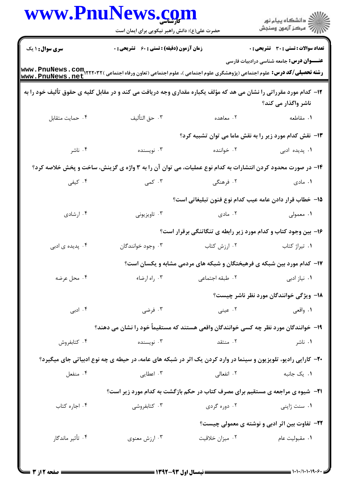|                                                                                                                    |                                                                                                                       | حضرت علی(ع): دانش راهبر نیکویی برای ایمان است                          | ڪ دانشڪاه پيام نور<br>پ <sup>ر</sup> مرڪز آزمون وسنڊش |
|--------------------------------------------------------------------------------------------------------------------|-----------------------------------------------------------------------------------------------------------------------|------------------------------------------------------------------------|-------------------------------------------------------|
| <b>سری سوال : ۱ یک</b>                                                                                             | زمان آزمون (دقیقه) : تستی : 60 ٪ تشریحی : 0                                                                           |                                                                        | <b>تعداد سوالات : تستی : 30 ٪ تشریحی : 0</b>          |
| www.PnuNews.net                                                                                                    |                                                                                                                       |                                                                        | <b>عنــــوان درس:</b> جامعه شناسی درادبیات فارسی      |
| ۱۲- کدام مورد مقرراتی را نشان می هد که مؤلف یکباره مقداری وجه دریافت می کند و در مقابل کلیه ی حقوق تألیف خود را به |                                                                                                                       |                                                                        | ناشر واگذار می کند؟                                   |
| ۴. حمايت متقابل                                                                                                    | ٠٣ حق التأليف                                                                                                         | ۰۲ معاهده                                                              | ۰۱ مقاطعه                                             |
|                                                                                                                    |                                                                                                                       | <b>۱۳</b> - نقش کدام مورد زیر را به نقش ماما می توان تشبیه کرد؟        |                                                       |
| ۰۴ ناشر                                                                                                            | ۰۳ نویسنده                                                                                                            | ۰۲ خواننده                                                             | <b>۱.</b> پدیده ادبی                                  |
|                                                                                                                    | ۱۴- در صورت محدود کردن انتشارات به کدام نوع عملیات، می توان آن را به ۳ واژه ی گزینش، ساخت و پخش خلاصه کرد؟            |                                                                        |                                                       |
| ۰۴ کیفی                                                                                                            | ۰۳ کمی                                                                                                                | ۰۲ فرهنگی                                                              | ۰۱ مادی                                               |
|                                                                                                                    |                                                                                                                       | ۱۵– خطاب قرار دادن عامه عيب كدام نوع فنون تبليغاتي است؟                |                                                       |
| ۰۴ ارشادی                                                                                                          | ۰۳ تاویزیونی                                                                                                          | ۰۲ مادی $\cdot$                                                        | ۰۱ معمولی                                             |
|                                                                                                                    |                                                                                                                       | ۱۶- بین وجود کتاب و کدام مورد زیر رابطه ی تنگاتنگی برقرار است؟         |                                                       |
| ۰۴ پدیده ی ادبی                                                                                                    | ۰۳ وجود خوانندگان                                                                                                     | ۰۲ ارزش کتاب                                                           | ۰۱ تیراژ کتاب                                         |
|                                                                                                                    |                                                                                                                       | ۱۷- کدام مورد بین شبکه ی فرهیختگان و شبکه های مردمی مشابه و یکسان است؟ |                                                       |
| ۰۴ محل عرضه                                                                                                        | ۰۳ راه ارضاء                                                                                                          | ٠٢ طبقه اجتماعي                                                        | ٠١. نياز ادبي                                         |
|                                                                                                                    |                                                                                                                       |                                                                        | ۱۸− ویژگی خوانندگان مورد نظر ناشر چیست؟               |
| ۰۴ ادبی                                                                                                            | ۰۳ فرضی                                                                                                               | ۰۲ عینی                                                                | ۰۱ واقعی                                              |
|                                                                                                                    | ۱۹– خوانندگان مورد نظر چه کسی خوانندگان واقعی هستند که مستقیماً خود را نشان می دهند؟                                  |                                                                        |                                                       |
| ۰۴ کتابفروش                                                                                                        | ۰۳ نویسنده                                                                                                            | ۰۲ منتقد                                                               | ۰۱ ناشر                                               |
|                                                                                                                    | <b>۲۰</b> - کارایی رادیو، تلویزیون و سینما در وارد کردن یک اثر در شبکه های عامه، در حیطه ی چه نوع ادبیاتی جای میگیرد؟ |                                                                        |                                                       |
| ۰۴ منفعل                                                                                                           | ۰۳ اعطایی                                                                                                             | ۰۲ انفعالی                                                             | ۰۱ یک جانبه                                           |
|                                                                                                                    | <b>3</b> - شیوه ی مراجعه ی مستقیم برای مصرف کتاب در حکم بازگشت به کدام مورد زیر است؟                                  |                                                                        |                                                       |
| ۰۴ اجاره کتاب                                                                                                      | ۰۳ کتابفروشی                                                                                                          | ۰۲ دوره گردی                                                           | ۰۱ سنت ژاپنی                                          |
|                                                                                                                    |                                                                                                                       |                                                                        | <b>۲۲</b> - تفاوت بین اثر ادبی و نوشته ی معمولی چیست؟ |
| ۰۴ تأثیر ماندگار                                                                                                   | ۰۳ ارزش معنوي                                                                                                         | ۰۲ میزان خلاقیت                                                        | ۰۱ مقبولیت عام                                        |
|                                                                                                                    |                                                                                                                       |                                                                        |                                                       |

 $= 1.1 \cdot 11.1111.5$